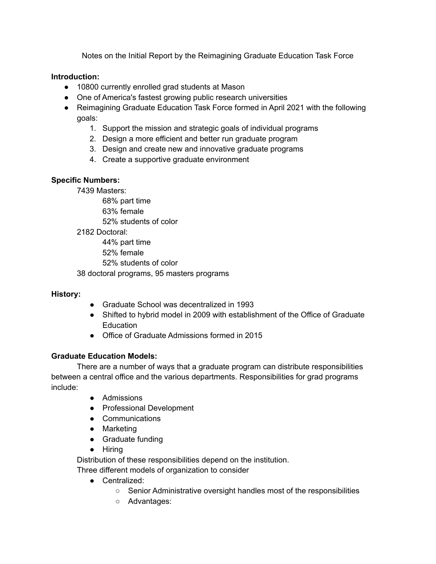Notes on the Initial Report by the Reimagining Graduate Education Task Force

#### **Introduction:**

- 10800 currently enrolled grad students at Mason
- One of America's fastest growing public research universities
- Reimagining Graduate Education Task Force formed in April 2021 with the following goals:
	- 1. Support the mission and strategic goals of individual programs
	- 2. Design a more efficient and better run graduate program
	- 3. Design and create new and innovative graduate programs
	- 4. Create a supportive graduate environment

#### **Specific Numbers:**

7439 Masters:

68% part time

63% female

52% students of color

2182 Doctoral:

44% part time

52% female

52% students of color

38 doctoral programs, 95 masters programs

## **History:**

- Graduate School was decentralized in 1993
- Shifted to hybrid model in 2009 with establishment of the Office of Graduate **Education**
- Office of Graduate Admissions formed in 2015

## **Graduate Education Models:**

There are a number of ways that a graduate program can distribute responsibilities between a central office and the various departments. Responsibilities for grad programs include:

- Admissions
- Professional Development
- Communications
- Marketing
- Graduate funding
- Hiring

Distribution of these responsibilities depend on the institution.

Three different models of organization to consider

- Centralized:
	- Senior Administrative oversight handles most of the responsibilities
	- Advantages: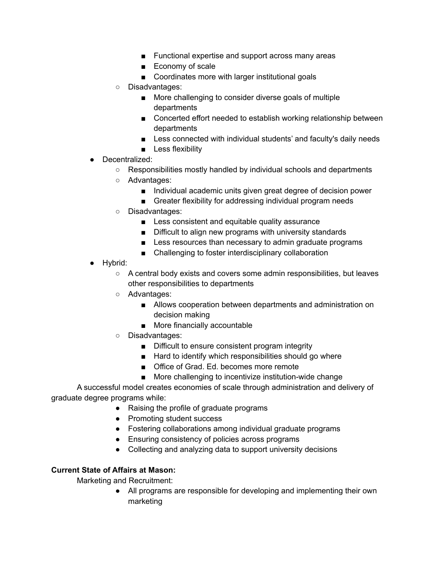- Functional expertise and support across many areas
- Economy of scale
- Coordinates more with larger institutional goals
- Disadvantages:
	- More challenging to consider diverse goals of multiple departments
	- Concerted effort needed to establish working relationship between departments
	- Less connected with individual students' and faculty's daily needs
	- Less flexibility
- Decentralized:
	- Responsibilities mostly handled by individual schools and departments
	- Advantages:
		- Individual academic units given great degree of decision power
		- Greater flexibility for addressing individual program needs
	- Disadvantages:
		- Less consistent and equitable quality assurance
		- Difficult to align new programs with university standards
		- Less resources than necessary to admin graduate programs
		- Challenging to foster interdisciplinary collaboration
- Hybrid:
	- A central body exists and covers some admin responsibilities, but leaves other responsibilities to departments
	- Advantages:
		- Allows cooperation between departments and administration on decision making
		- More financially accountable
	- Disadvantages:
		- Difficult to ensure consistent program integrity
		- Hard to identify which responsibilities should go where
		- Office of Grad. Ed. becomes more remote
		- More challenging to incentivize institution-wide change

A successful model creates economies of scale through administration and delivery of graduate degree programs while:

- Raising the profile of graduate programs
- Promoting student success
- Fostering collaborations among individual graduate programs
- Ensuring consistency of policies across programs
- Collecting and analyzing data to support university decisions

## **Current State of Affairs at Mason:**

Marketing and Recruitment:

● All programs are responsible for developing and implementing their own marketing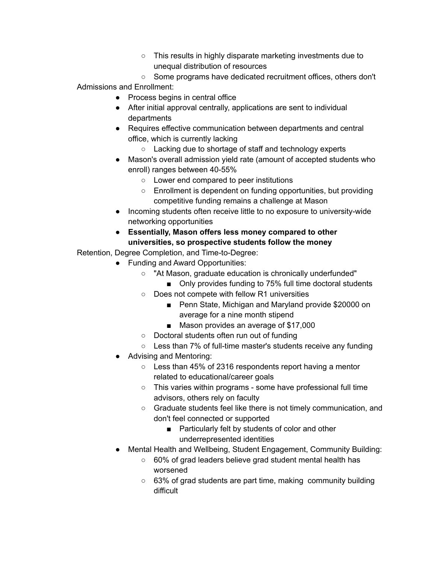- This results in highly disparate marketing investments due to unequal distribution of resources
- Some programs have dedicated recruitment offices, others don't Admissions and Enrollment:
	- Process begins in central office
	- After initial approval centrally, applications are sent to individual departments
	- Requires effective communication between departments and central office, which is currently lacking
		- Lacking due to shortage of staff and technology experts
	- Mason's overall admission yield rate (amount of accepted students who enroll) ranges between 40-55%
		- Lower end compared to peer institutions
		- Enrollment is dependent on funding opportunities, but providing competitive funding remains a challenge at Mason
	- Incoming students often receive little to no exposure to university-wide networking opportunities
	- **● Essentially, Mason offers less money compared to other universities, so prospective students follow the money**

Retention, Degree Completion, and Time-to-Degree:

- Funding and Award Opportunities:
	- "At Mason, graduate education is chronically underfunded"
		- Only provides funding to 75% full time doctoral students
	- Does not compete with fellow R1 universities
		- Penn State, Michigan and Maryland provide \$20000 on average for a nine month stipend
		- Mason provides an average of \$17,000
	- Doctoral students often run out of funding
	- Less than 7% of full-time master's students receive any funding
- Advising and Mentoring:
	- Less than 45% of 2316 respondents report having a mentor related to educational/career goals
	- This varies within programs some have professional full time advisors, others rely on faculty
	- Graduate students feel like there is not timely communication, and don't feel connected or supported
		- Particularly felt by students of color and other underrepresented identities
- Mental Health and Wellbeing, Student Engagement, Community Building:
	- 60% of grad leaders believe grad student mental health has worsened
	- 63% of grad students are part time, making community building difficult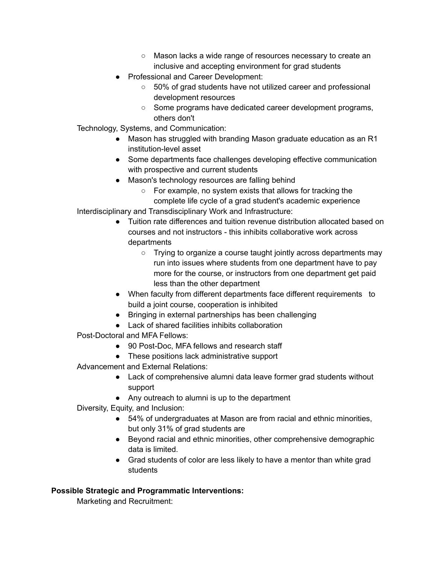- Mason lacks a wide range of resources necessary to create an inclusive and accepting environment for grad students
- Professional and Career Development:
	- 50% of grad students have not utilized career and professional development resources
	- Some programs have dedicated career development programs, others don't

Technology, Systems, and Communication:

- Mason has struggled with branding Mason graduate education as an R1 institution-level asset
- Some departments face challenges developing effective communication with prospective and current students
- Mason's technology resources are falling behind
	- For example, no system exists that allows for tracking the complete life cycle of a grad student's academic experience

Interdisciplinary and Transdisciplinary Work and Infrastructure:

- Tuition rate differences and tuition revenue distribution allocated based on courses and not instructors - this inhibits collaborative work across departments
	- Trying to organize a course taught jointly across departments may run into issues where students from one department have to pay more for the course, or instructors from one department get paid less than the other department
- When faculty from different departments face different requirements to build a joint course, cooperation is inhibited
- Bringing in external partnerships has been challenging
- Lack of shared facilities inhibits collaboration
- Post-Doctoral and MFA Fellows:
	- 90 Post-Doc, MFA fellows and research staff
	- These positions lack administrative support
- Advancement and External Relations:
	- Lack of comprehensive alumni data leave former grad students without support
	- Any outreach to alumni is up to the department
- Diversity, Equity, and Inclusion:
	- 54% of undergraduates at Mason are from racial and ethnic minorities, but only 31% of grad students are
	- Beyond racial and ethnic minorities, other comprehensive demographic data is limited.
	- Grad students of color are less likely to have a mentor than white grad students

## **Possible Strategic and Programmatic Interventions:**

Marketing and Recruitment: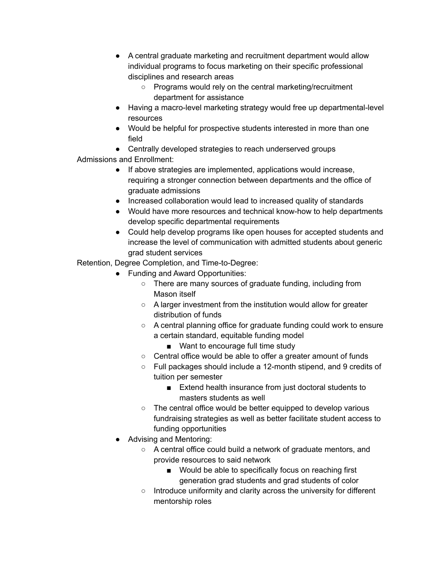- A central graduate marketing and recruitment department would allow individual programs to focus marketing on their specific professional disciplines and research areas
	- Programs would rely on the central marketing/recruitment department for assistance
- Having a macro-level marketing strategy would free up departmental-level resources
- Would be helpful for prospective students interested in more than one field
- Centrally developed strategies to reach underserved groups

Admissions and Enrollment:

- If above strategies are implemented, applications would increase, requiring a stronger connection between departments and the office of graduate admissions
- Increased collaboration would lead to increased quality of standards
- Would have more resources and technical know-how to help departments develop specific departmental requirements
- Could help develop programs like open houses for accepted students and increase the level of communication with admitted students about generic grad student services

Retention, Degree Completion, and Time-to-Degree:

- Funding and Award Opportunities:
	- There are many sources of graduate funding, including from Mason itself
	- A larger investment from the institution would allow for greater distribution of funds
	- A central planning office for graduate funding could work to ensure a certain standard, equitable funding model
		- Want to encourage full time study
	- Central office would be able to offer a greater amount of funds
	- Full packages should include a 12-month stipend, and 9 credits of tuition per semester
		- Extend health insurance from just doctoral students to masters students as well
	- The central office would be better equipped to develop various fundraising strategies as well as better facilitate student access to funding opportunities
- Advising and Mentoring:
	- A central office could build a network of graduate mentors, and provide resources to said network
		- Would be able to specifically focus on reaching first generation grad students and grad students of color
	- Introduce uniformity and clarity across the university for different mentorship roles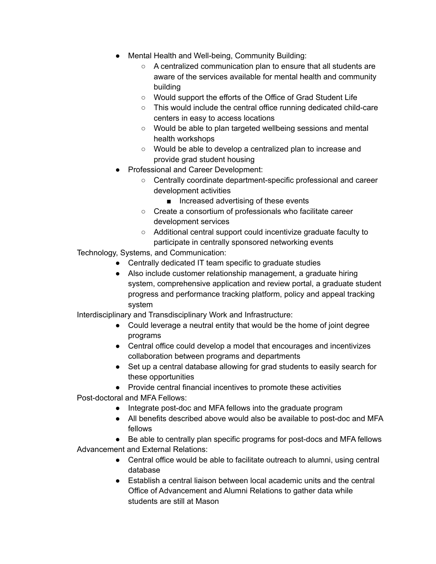- Mental Health and Well-being, Community Building:
	- A centralized communication plan to ensure that all students are aware of the services available for mental health and community building
	- Would support the efforts of the Office of Grad Student Life
	- This would include the central office running dedicated child-care centers in easy to access locations
	- Would be able to plan targeted wellbeing sessions and mental health workshops
	- Would be able to develop a centralized plan to increase and provide grad student housing
- Professional and Career Development:
	- Centrally coordinate department-specific professional and career development activities
		- Increased advertising of these events
	- Create a consortium of professionals who facilitate career development services
	- Additional central support could incentivize graduate faculty to participate in centrally sponsored networking events
- Technology, Systems, and Communication:
	- Centrally dedicated IT team specific to graduate studies
	- Also include customer relationship management, a graduate hiring system, comprehensive application and review portal, a graduate student progress and performance tracking platform, policy and appeal tracking system

Interdisciplinary and Transdisciplinary Work and Infrastructure:

- Could leverage a neutral entity that would be the home of joint degree programs
- Central office could develop a model that encourages and incentivizes collaboration between programs and departments
- Set up a central database allowing for grad students to easily search for these opportunities
- Provide central financial incentives to promote these activities

Post-doctoral and MFA Fellows:

- Integrate post-doc and MFA fellows into the graduate program
- All benefits described above would also be available to post-doc and MFA fellows
- Be able to centrally plan specific programs for post-docs and MFA fellows

Advancement and External Relations:

- Central office would be able to facilitate outreach to alumni, using central database
- Establish a central liaison between local academic units and the central Office of Advancement and Alumni Relations to gather data while students are still at Mason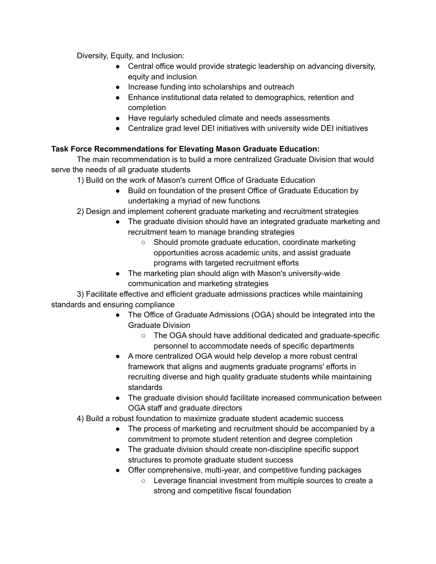Diversity, Equity, and Inclusion:

- Central office would provide strategic leadership on advancing diversity, equity and inclusion
- Increase funding into scholarships and outreach
- Enhance institutional data related to demographics, retention and completion
- Have regularly scheduled climate and needs assessments
- Centralize grad level DEI initiatives with university wide DEI initiatives

# **Task Force Recommendations for Elevating Mason Graduate Education:**

The main recommendation is to build a more centralized Graduate Division that would serve the needs of all graduate students

1) Build on the work of Mason's current Office of Graduate Education

- Build on foundation of the present Office of Graduate Education by undertaking a myriad of new functions
- 2) Design and implement coherent graduate marketing and recruitment strategies
	- The graduate division should have an integrated graduate marketing and recruitment team to manage branding strategies
		- Should promote graduate education, coordinate marketing opportunities across academic units, and assist graduate programs with targeted recruitment efforts
	- The marketing plan should align with Mason's university-wide communication and marketing strategies

3) Facilitate effective and efficient graduate admissions practices while maintaining standards and ensuring compliance

- The Office of Graduate Admissions (OGA) should be integrated into the Graduate Division
	- The OGA should have additional dedicated and graduate-specific personnel to accommodate needs of specific departments
- A more centralized OGA would help develop a more robust central framework that aligns and augments graduate programs' efforts in recruiting diverse and high quality graduate students while maintaining standards
- The graduate division should facilitate increased communication between OGA staff and graduate directors
- 4) Build a robust foundation to maximize graduate student academic success
	- The process of marketing and recruitment should be accompanied by a commitment to promote student retention and degree completion
	- The graduate division should create non-discipline specific support structures to promote graduate student success
	- Offer comprehensive, multi-year, and competitive funding packages
		- Leverage financial investment from multiple sources to create a strong and competitive fiscal foundation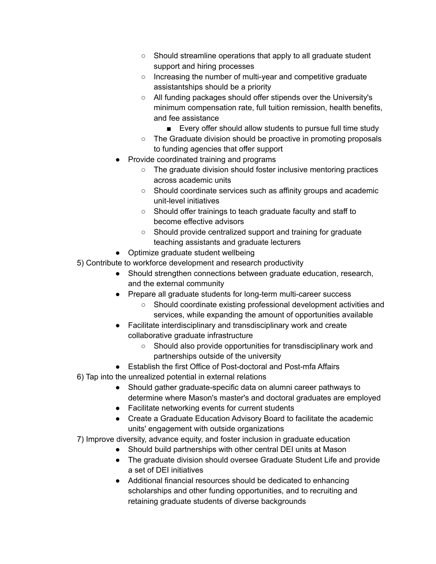- Should streamline operations that apply to all graduate student support and hiring processes
- Increasing the number of multi-year and competitive graduate assistantships should be a priority
- All funding packages should offer stipends over the University's minimum compensation rate, full tuition remission, health benefits, and fee assistance
	- Every offer should allow students to pursue full time study
- The Graduate division should be proactive in promoting proposals to funding agencies that offer support
- Provide coordinated training and programs
	- The graduate division should foster inclusive mentoring practices across academic units
	- Should coordinate services such as affinity groups and academic unit-level initiatives
	- Should offer trainings to teach graduate faculty and staff to become effective advisors
	- Should provide centralized support and training for graduate teaching assistants and graduate lecturers
- Optimize graduate student wellbeing
- 5) Contribute to workforce development and research productivity
	- Should strengthen connections between graduate education, research, and the external community
	- Prepare all graduate students for long-term multi-career success
		- Should coordinate existing professional development activities and services, while expanding the amount of opportunities available
	- Facilitate interdisciplinary and transdisciplinary work and create collaborative graduate infrastructure
		- Should also provide opportunities for transdisciplinary work and partnerships outside of the university
	- Establish the first Office of Post-doctoral and Post-mfa Affairs
- 6) Tap into the unrealized potential in external relations
	- Should gather graduate-specific data on alumni career pathways to determine where Mason's master's and doctoral graduates are employed
	- Facilitate networking events for current students
	- Create a Graduate Education Advisory Board to facilitate the academic units' engagement with outside organizations
- 7) Improve diversity, advance equity, and foster inclusion in graduate education
	- Should build partnerships with other central DEI units at Mason
	- The graduate division should oversee Graduate Student Life and provide a set of DEI initiatives
	- Additional financial resources should be dedicated to enhancing scholarships and other funding opportunities, and to recruiting and retaining graduate students of diverse backgrounds